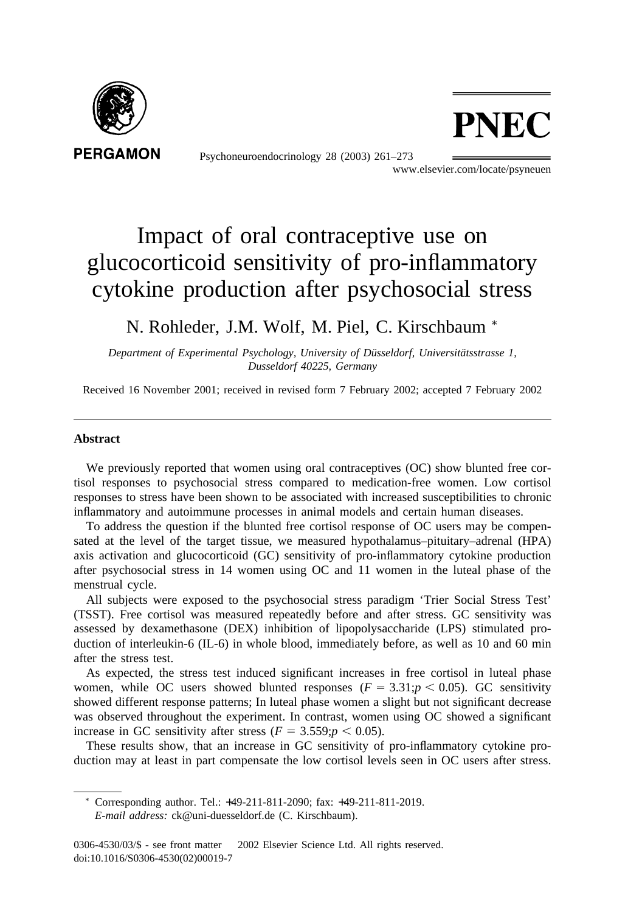

Psychoneuroendocrinology 28 (2003) 261–273



www.elsevier.com/locate/psyneuen

# Impact of oral contraceptive use on glucocorticoid sensitivity of pro-inflammatory cytokine production after psychosocial stress

### N. Rohleder, J.M. Wolf, M. Piel, C. Kirschbaum <sup>∗</sup>

*Department of Experimental Psychology, University of Düsseldorf, Universitätsstrasse 1, Dusseldorf 40225, Germany*

Received 16 November 2001; received in revised form 7 February 2002; accepted 7 February 2002

#### **Abstract**

We previously reported that women using oral contraceptives (OC) show blunted free cortisol responses to psychosocial stress compared to medication-free women. Low cortisol responses to stress have been shown to be associated with increased susceptibilities to chronic inflammatory and autoimmune processes in animal models and certain human diseases.

To address the question if the blunted free cortisol response of OC users may be compensated at the level of the target tissue, we measured hypothalamus–pituitary–adrenal (HPA) axis activation and glucocorticoid (GC) sensitivity of pro-inflammatory cytokine production after psychosocial stress in 14 women using OC and 11 women in the luteal phase of the menstrual cycle.

All subjects were exposed to the psychosocial stress paradigm 'Trier Social Stress Test' (TSST). Free cortisol was measured repeatedly before and after stress. GC sensitivity was assessed by dexamethasone (DEX) inhibition of lipopolysaccharide (LPS) stimulated production of interleukin-6 (IL-6) in whole blood, immediately before, as well as 10 and 60 min after the stress test.

As expected, the stress test induced significant increases in free cortisol in luteal phase women, while OC users showed blunted responses ( $F = 3.31$ ; $p < 0.05$ ). GC sensitivity showed different response patterns; In luteal phase women a slight but not significant decrease was observed throughout the experiment. In contrast, women using OC showed a significant increase in GC sensitivity after stress  $(F = 3.559; p < 0.05)$ .

These results show, that an increase in GC sensitivity of pro-inflammatory cytokine production may at least in part compensate the low cortisol levels seen in OC users after stress.

<sup>∗</sup> Corresponding author. Tel.: +49-211-811-2090; fax: +49-211-811-2019.

*E-mail address:* ck@uni-duesseldorf.de (C. Kirschbaum).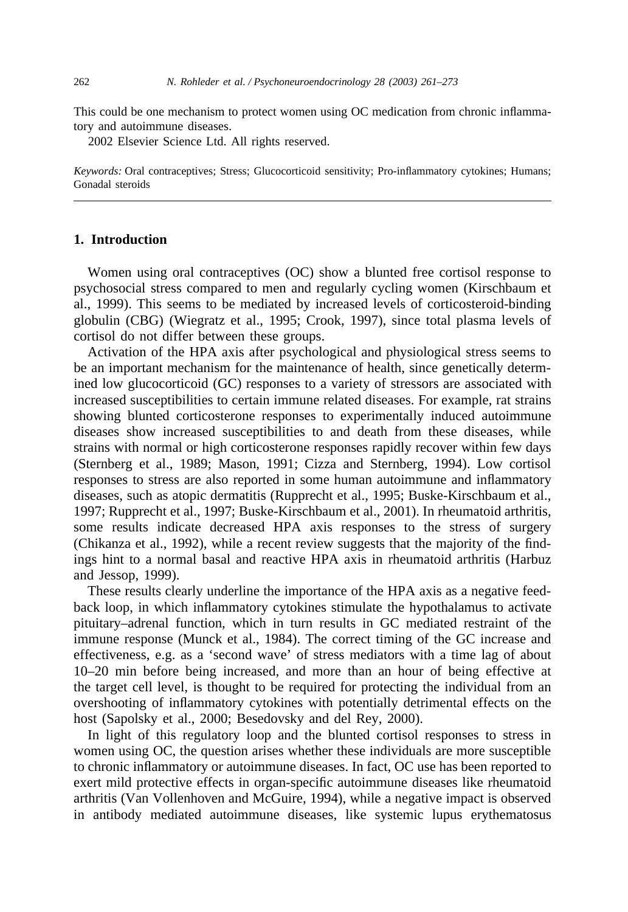This could be one mechanism to protect women using OC medication from chronic inflammatory and autoimmune diseases.

2002 Elsevier Science Ltd. All rights reserved.

*Keywords:* Oral contraceptives; Stress; Glucocorticoid sensitivity; Pro-inflammatory cytokines; Humans; Gonadal steroids

#### **1. Introduction**

Women using oral contraceptives (OC) show a blunted free cortisol response to psychosocial stress compared to men and regularly cycling women (Kirschbaum et al., 1999). This seems to be mediated by increased levels of corticosteroid-binding globulin (CBG) (Wiegratz et al., 1995; Crook, 1997), since total plasma levels of cortisol do not differ between these groups.

Activation of the HPA axis after psychological and physiological stress seems to be an important mechanism for the maintenance of health, since genetically determined low glucocorticoid (GC) responses to a variety of stressors are associated with increased susceptibilities to certain immune related diseases. For example, rat strains showing blunted corticosterone responses to experimentally induced autoimmune diseases show increased susceptibilities to and death from these diseases, while strains with normal or high corticosterone responses rapidly recover within few days (Sternberg et al., 1989; Mason, 1991; Cizza and Sternberg, 1994). Low cortisol responses to stress are also reported in some human autoimmune and inflammatory diseases, such as atopic dermatitis (Rupprecht et al., 1995; Buske-Kirschbaum et al., 1997; Rupprecht et al., 1997; Buske-Kirschbaum et al., 2001). In rheumatoid arthritis, some results indicate decreased HPA axis responses to the stress of surgery (Chikanza et al., 1992), while a recent review suggests that the majority of the findings hint to a normal basal and reactive HPA axis in rheumatoid arthritis (Harbuz and Jessop, 1999).

These results clearly underline the importance of the HPA axis as a negative feedback loop, in which inflammatory cytokines stimulate the hypothalamus to activate pituitary–adrenal function, which in turn results in GC mediated restraint of the immune response (Munck et al., 1984). The correct timing of the GC increase and effectiveness, e.g. as a 'second wave' of stress mediators with a time lag of about 10–20 min before being increased, and more than an hour of being effective at the target cell level, is thought to be required for protecting the individual from an overshooting of inflammatory cytokines with potentially detrimental effects on the host (Sapolsky et al., 2000; Besedovsky and del Rey, 2000).

In light of this regulatory loop and the blunted cortisol responses to stress in women using OC, the question arises whether these individuals are more susceptible to chronic inflammatory or autoimmune diseases. In fact, OC use has been reported to exert mild protective effects in organ-specific autoimmune diseases like rheumatoid arthritis (Van Vollenhoven and McGuire, 1994), while a negative impact is observed in antibody mediated autoimmune diseases, like systemic lupus erythematosus